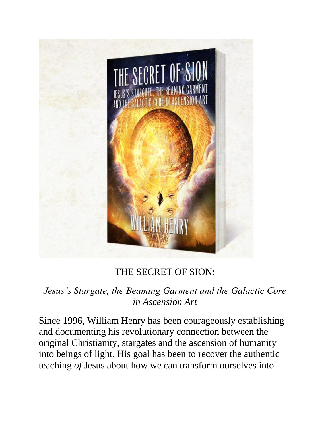

## THE SECRET OF SION:

*Jesus's Stargate, the Beaming Garment and the Galactic Core in Ascension Art*

Since 1996, William Henry has been courageously establishing and documenting his revolutionary connection between the original Christianity, stargates and the ascension of humanity into beings of light. His goal has been to recover the authentic teaching *of* Jesus about how we can transform ourselves into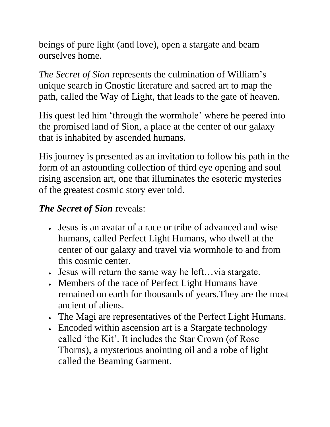beings of pure light (and love), open a stargate and beam ourselves home.

*The Secret of Sion* represents the culmination of William's unique search in Gnostic literature and sacred art to map the path, called the Way of Light, that leads to the gate of heaven.

His quest led him 'through the wormhole' where he peered into the promised land of Sion, a place at the center of our galaxy that is inhabited by ascended humans.

His journey is presented as an invitation to follow his path in the form of an astounding collection of third eye opening and soul rising ascension art, one that illuminates the esoteric mysteries of the greatest cosmic story ever told.

## *The Secret of Sion* reveals:

- Jesus is an avatar of a race or tribe of advanced and wise humans, called Perfect Light Humans, who dwell at the center of our galaxy and travel via wormhole to and from this cosmic center.
- Jesus will return the same way he left…via stargate.
- Members of the race of Perfect Light Humans have remained on earth for thousands of years.They are the most ancient of aliens.
- The Magi are representatives of the Perfect Light Humans.
- Encoded within ascension art is a Stargate technology called 'the Kit'. It includes the Star Crown (of Rose Thorns), a mysterious anointing oil and a robe of light called the Beaming Garment.